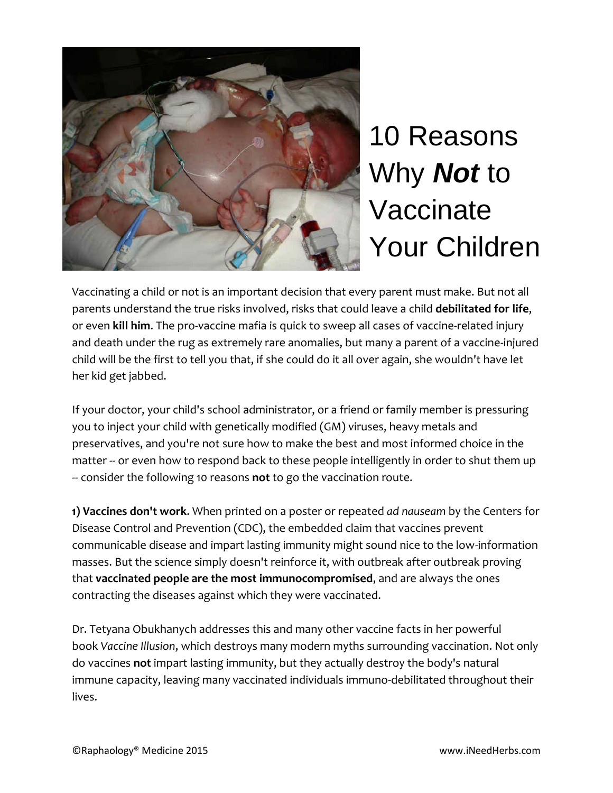

## 10 Reasons Why *Not* to Vaccinate Your Children

Vaccinating a child or not is an important decision that every parent must make. But not all parents understand the true risks involved, risks that could leave a child **debilitated for life**, or even **kill him**. The pro-vaccine mafia is quick to sweep all cases of vaccine-related injury and death under the rug as extremely rare anomalies, but many a parent of a vaccine-injured child will be the first to tell you that, if she could do it all over again, she wouldn't have let her kid get jabbed.

If your doctor, your child's school administrator, or a friend or family member is pressuring you to inject your child with genetically modified (GM) viruses, heavy metals and preservatives, and you're not sure how to make the best and most informed choice in the matter -- or even how to respond back to these people intelligently in order to shut them up -- consider the following 10 reasons **not** to go the vaccination route.

**1) Vaccines don't work**. When printed on a poster or repeated *ad nauseam* by the Centers for Disease Control and Prevention (CDC), the embedded claim that vaccines prevent communicable disease and impart lasting immunity might sound nice to the low-information masses. But the science simply doesn't reinforce it, with outbreak after outbreak proving that **vaccinated people are the most immunocompromised**, and are always the ones contracting the diseases against which they were vaccinated.

Dr. Tetyana Obukhanych addresses this and many other vaccine facts in her powerful book *Vaccine Illusion*, which destroys many modern myths surrounding vaccination. Not only do vaccines **not** impart lasting immunity, but they actually destroy the body's natural immune capacity, leaving many vaccinated individuals immuno-debilitated throughout their lives.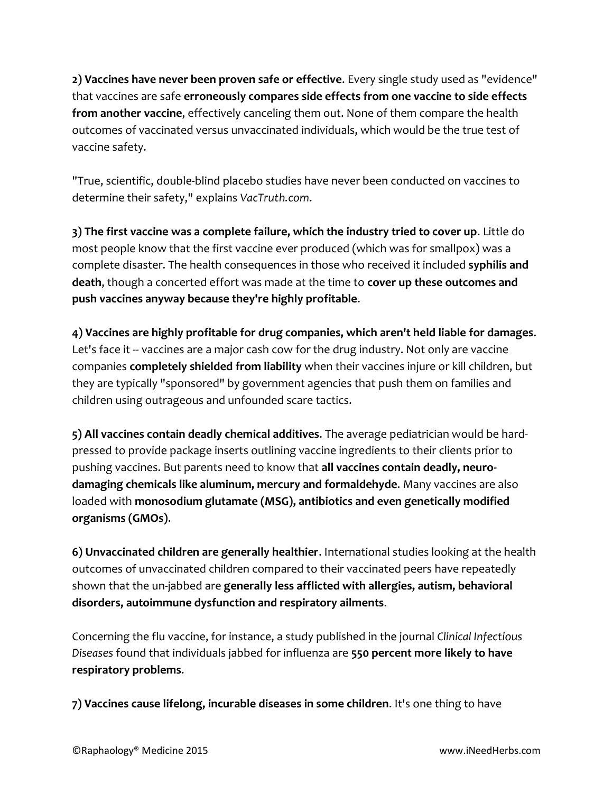**2) Vaccines have never been proven safe or effective**. Every single study used as "evidence" that vaccines are safe **erroneously compares side effects from one vaccine to side effects from another vaccine**, effectively canceling them out. None of them compare the health outcomes of vaccinated versus unvaccinated individuals, which would be the true test of vaccine safety.

"True, scientific, double-blind placebo studies have never been conducted on vaccines to determine their safety," explains *VacTruth.com*.

**3) The first vaccine was a complete failure, which the industry tried to cover up**. Little do most people know that the first vaccine ever produced (which was for smallpox) was a complete disaster. The health consequences in those who received it included **syphilis and death**, though a concerted effort was made at the time to **cover up these outcomes and push vaccines anyway because they're highly profitable**.

**4) Vaccines are highly profitable for drug companies, which aren't held liable for damages**. Let's face it -- vaccines are a major cash cow for the drug industry. Not only are vaccine companies **completely shielded from liability** when their vaccines injure or kill children, but they are typically "sponsored" by government agencies that push them on families and children using outrageous and unfounded scare tactics.

**5) All vaccines contain deadly chemical additives**. The average pediatrician would be hardpressed to provide package inserts outlining vaccine ingredients to their clients prior to pushing vaccines. But parents need to know that **all vaccines contain deadly, neurodamaging chemicals like aluminum, mercury and formaldehyde**. Many vaccines are also loaded with **monosodium glutamate (MSG), antibiotics and even genetically modified organisms (GMOs)**.

**6) Unvaccinated children are generally healthier**. International studies looking at the health outcomes of unvaccinated children compared to their vaccinated peers have repeatedly shown that the un-jabbed are **generally less afflicted with allergies, autism, behavioral disorders, autoimmune dysfunction and respiratory ailments**.

Concerning the flu vaccine, for instance, a study published in the journal *Clinical Infectious Diseases* found that individuals jabbed for influenza are **550 percent more likely to have respiratory problems**.

**7) Vaccines cause lifelong, incurable diseases in some children**. It's one thing to have